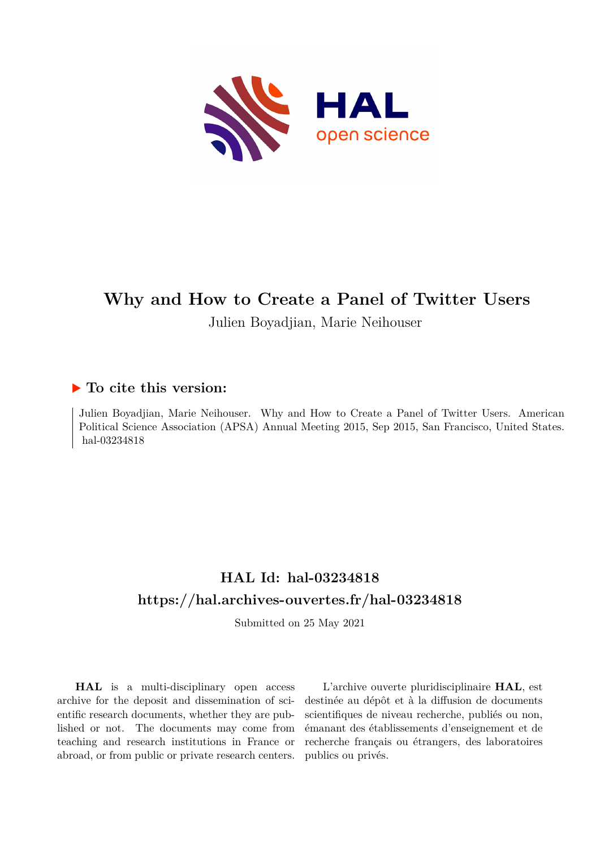

# **Why and How to Create a Panel of Twitter Users** Julien Boyadjian, Marie Neihouser

## **To cite this version:**

Julien Boyadjian, Marie Neihouser. Why and How to Create a Panel of Twitter Users. American Political Science Association (APSA) Annual Meeting 2015, Sep 2015, San Francisco, United States. hal-03234818

## **HAL Id: hal-03234818 <https://hal.archives-ouvertes.fr/hal-03234818>**

Submitted on 25 May 2021

**HAL** is a multi-disciplinary open access archive for the deposit and dissemination of scientific research documents, whether they are published or not. The documents may come from teaching and research institutions in France or abroad, or from public or private research centers.

L'archive ouverte pluridisciplinaire **HAL**, est destinée au dépôt et à la diffusion de documents scientifiques de niveau recherche, publiés ou non, émanant des établissements d'enseignement et de recherche français ou étrangers, des laboratoires publics ou privés.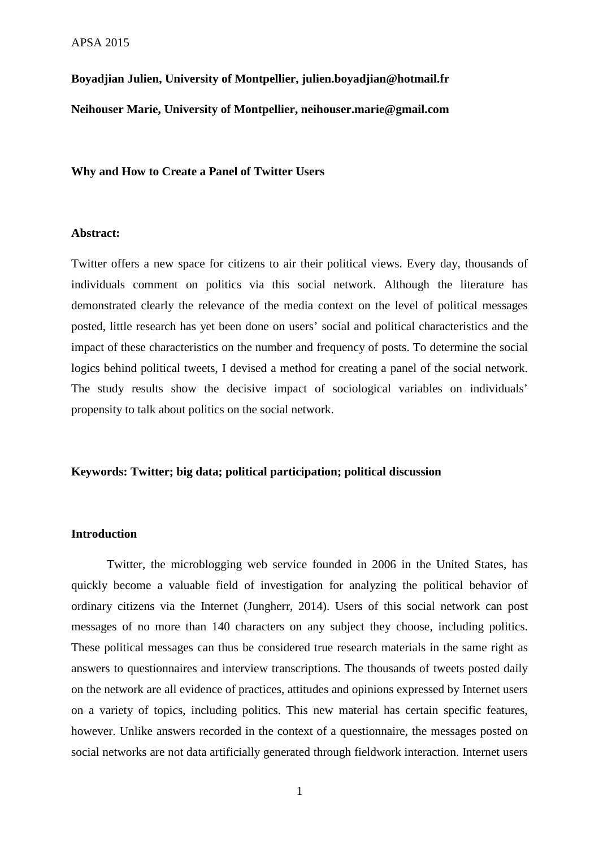**Boyadjian Julien, University of Montpellier, julien.boyadjian@hotmail.fr** 

**Neihouser Marie, University of Montpellier, neihouser.marie@gmail.com** 

**Why and How to Create a Panel of Twitter Users** 

#### **Abstract:**

Twitter offers a new space for citizens to air their political views. Every day, thousands of individuals comment on politics via this social network. Although the literature has demonstrated clearly the relevance of the media context on the level of political messages posted, little research has yet been done on users' social and political characteristics and the impact of these characteristics on the number and frequency of posts. To determine the social logics behind political tweets, I devised a method for creating a panel of the social network. The study results show the decisive impact of sociological variables on individuals' propensity to talk about politics on the social network.

#### **Keywords: Twitter; big data; political participation; political discussion**

#### **Introduction**

 Twitter, the microblogging web service founded in 2006 in the United States, has quickly become a valuable field of investigation for analyzing the political behavior of ordinary citizens via the Internet (Jungherr, 2014). Users of this social network can post messages of no more than 140 characters on any subject they choose, including politics. These political messages can thus be considered true research materials in the same right as answers to questionnaires and interview transcriptions. The thousands of tweets posted daily on the network are all evidence of practices, attitudes and opinions expressed by Internet users on a variety of topics, including politics. This new material has certain specific features, however. Unlike answers recorded in the context of a questionnaire, the messages posted on social networks are not data artificially generated through fieldwork interaction. Internet users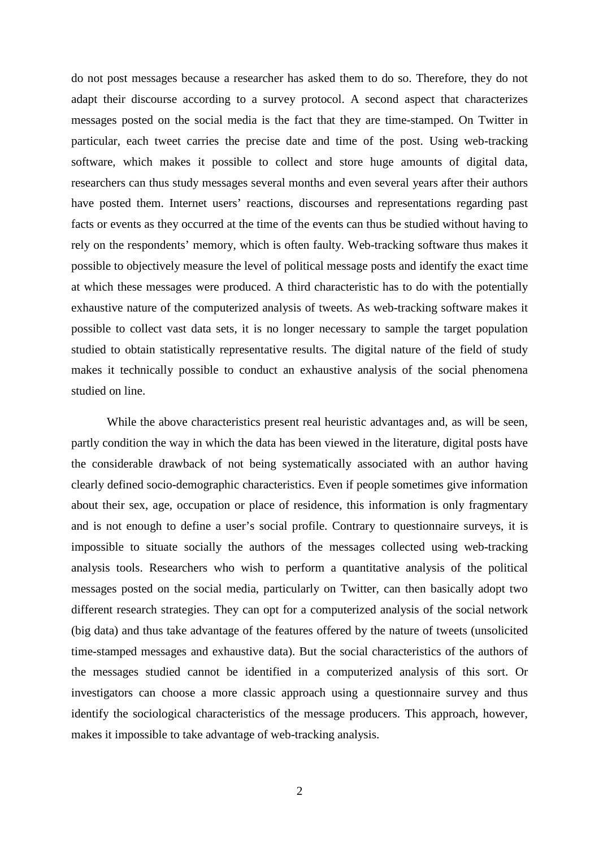do not post messages because a researcher has asked them to do so. Therefore, they do not adapt their discourse according to a survey protocol. A second aspect that characterizes messages posted on the social media is the fact that they are time-stamped. On Twitter in particular, each tweet carries the precise date and time of the post. Using web-tracking software, which makes it possible to collect and store huge amounts of digital data, researchers can thus study messages several months and even several years after their authors have posted them. Internet users' reactions, discourses and representations regarding past facts or events as they occurred at the time of the events can thus be studied without having to rely on the respondents' memory, which is often faulty. Web-tracking software thus makes it possible to objectively measure the level of political message posts and identify the exact time at which these messages were produced. A third characteristic has to do with the potentially exhaustive nature of the computerized analysis of tweets. As web-tracking software makes it possible to collect vast data sets, it is no longer necessary to sample the target population studied to obtain statistically representative results. The digital nature of the field of study makes it technically possible to conduct an exhaustive analysis of the social phenomena studied on line.

While the above characteristics present real heuristic advantages and, as will be seen, partly condition the way in which the data has been viewed in the literature, digital posts have the considerable drawback of not being systematically associated with an author having clearly defined socio-demographic characteristics. Even if people sometimes give information about their sex, age, occupation or place of residence, this information is only fragmentary and is not enough to define a user's social profile. Contrary to questionnaire surveys, it is impossible to situate socially the authors of the messages collected using web-tracking analysis tools. Researchers who wish to perform a quantitative analysis of the political messages posted on the social media, particularly on Twitter, can then basically adopt two different research strategies. They can opt for a computerized analysis of the social network (big data) and thus take advantage of the features offered by the nature of tweets (unsolicited time-stamped messages and exhaustive data). But the social characteristics of the authors of the messages studied cannot be identified in a computerized analysis of this sort. Or investigators can choose a more classic approach using a questionnaire survey and thus identify the sociological characteristics of the message producers. This approach, however, makes it impossible to take advantage of web-tracking analysis.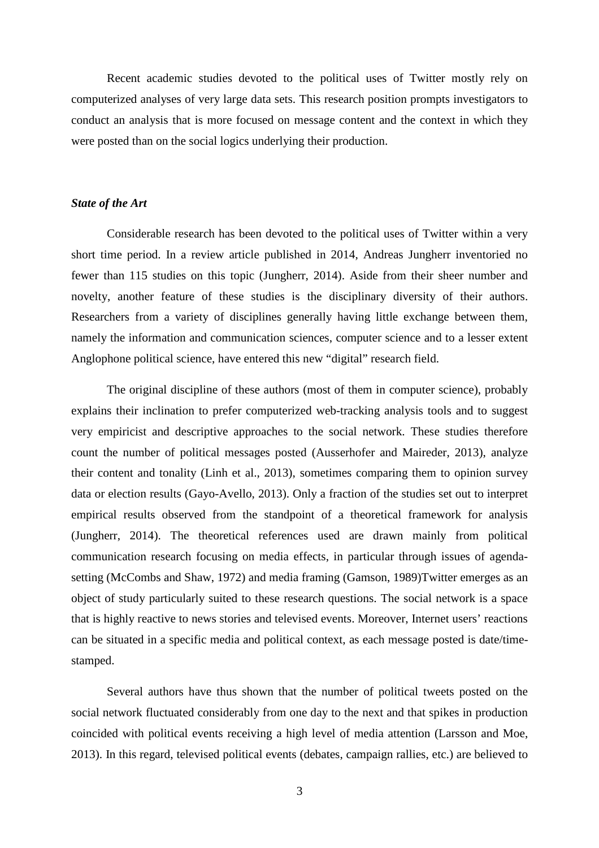Recent academic studies devoted to the political uses of Twitter mostly rely on computerized analyses of very large data sets. This research position prompts investigators to conduct an analysis that is more focused on message content and the context in which they were posted than on the social logics underlying their production.

#### *State of the Art*

Considerable research has been devoted to the political uses of Twitter within a very short time period. In a review article published in 2014, Andreas Jungherr inventoried no fewer than 115 studies on this topic (Jungherr, 2014). Aside from their sheer number and novelty, another feature of these studies is the disciplinary diversity of their authors. Researchers from a variety of disciplines generally having little exchange between them, namely the information and communication sciences, computer science and to a lesser extent Anglophone political science, have entered this new "digital" research field.

The original discipline of these authors (most of them in computer science), probably explains their inclination to prefer computerized web-tracking analysis tools and to suggest very empiricist and descriptive approaches to the social network. These studies therefore count the number of political messages posted (Ausserhofer and Maireder, 2013), analyze their content and tonality (Linh et al., 2013), sometimes comparing them to opinion survey data or election results (Gayo-Avello, 2013). Only a fraction of the studies set out to interpret empirical results observed from the standpoint of a theoretical framework for analysis (Jungherr, 2014). The theoretical references used are drawn mainly from political communication research focusing on media effects, in particular through issues of agendasetting (McCombs and Shaw, 1972) and media framing (Gamson, 1989)Twitter emerges as an object of study particularly suited to these research questions. The social network is a space that is highly reactive to news stories and televised events. Moreover, Internet users' reactions can be situated in a specific media and political context, as each message posted is date/timestamped.

Several authors have thus shown that the number of political tweets posted on the social network fluctuated considerably from one day to the next and that spikes in production coincided with political events receiving a high level of media attention (Larsson and Moe, 2013). In this regard, televised political events (debates, campaign rallies, etc.) are believed to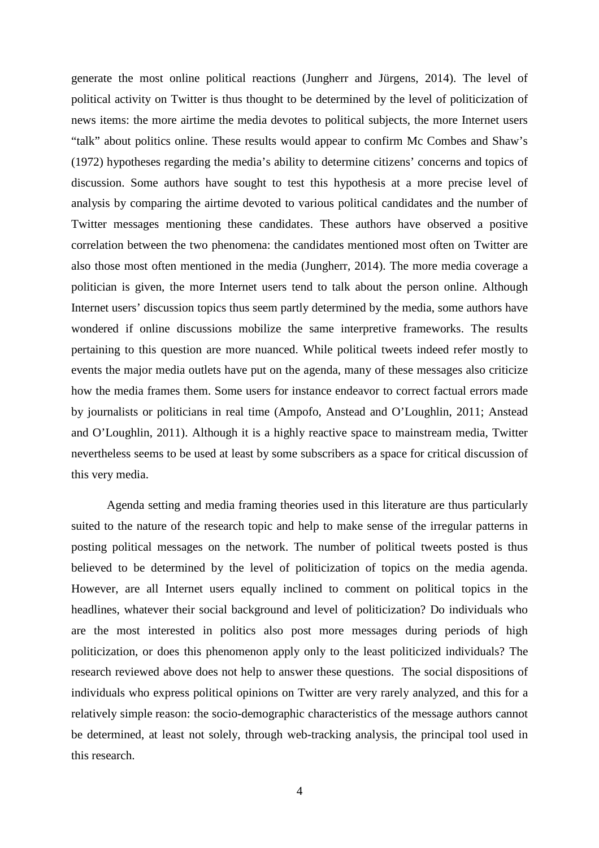generate the most online political reactions (Jungherr and Jürgens, 2014). The level of political activity on Twitter is thus thought to be determined by the level of politicization of news items: the more airtime the media devotes to political subjects, the more Internet users "talk" about politics online. These results would appear to confirm Mc Combes and Shaw's (1972) hypotheses regarding the media's ability to determine citizens' concerns and topics of discussion. Some authors have sought to test this hypothesis at a more precise level of analysis by comparing the airtime devoted to various political candidates and the number of Twitter messages mentioning these candidates. These authors have observed a positive correlation between the two phenomena: the candidates mentioned most often on Twitter are also those most often mentioned in the media (Jungherr, 2014). The more media coverage a politician is given, the more Internet users tend to talk about the person online. Although Internet users' discussion topics thus seem partly determined by the media, some authors have wondered if online discussions mobilize the same interpretive frameworks. The results pertaining to this question are more nuanced. While political tweets indeed refer mostly to events the major media outlets have put on the agenda, many of these messages also criticize how the media frames them. Some users for instance endeavor to correct factual errors made by journalists or politicians in real time (Ampofo, Anstead and O'Loughlin, 2011; Anstead and O'Loughlin, 2011). Although it is a highly reactive space to mainstream media, Twitter nevertheless seems to be used at least by some subscribers as a space for critical discussion of this very media.

Agenda setting and media framing theories used in this literature are thus particularly suited to the nature of the research topic and help to make sense of the irregular patterns in posting political messages on the network. The number of political tweets posted is thus believed to be determined by the level of politicization of topics on the media agenda. However, are all Internet users equally inclined to comment on political topics in the headlines, whatever their social background and level of politicization? Do individuals who are the most interested in politics also post more messages during periods of high politicization, or does this phenomenon apply only to the least politicized individuals? The research reviewed above does not help to answer these questions. The social dispositions of individuals who express political opinions on Twitter are very rarely analyzed, and this for a relatively simple reason: the socio-demographic characteristics of the message authors cannot be determined, at least not solely, through web-tracking analysis, the principal tool used in this research.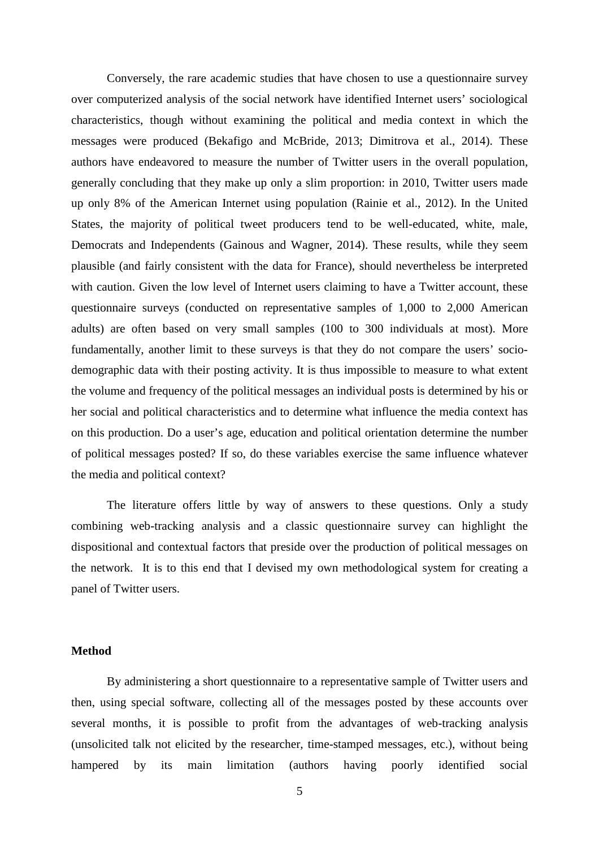Conversely, the rare academic studies that have chosen to use a questionnaire survey over computerized analysis of the social network have identified Internet users' sociological characteristics, though without examining the political and media context in which the messages were produced (Bekafigo and McBride, 2013; Dimitrova et al., 2014). These authors have endeavored to measure the number of Twitter users in the overall population, generally concluding that they make up only a slim proportion: in 2010, Twitter users made up only 8% of the American Internet using population (Rainie et al., 2012). In the United States, the majority of political tweet producers tend to be well-educated, white, male, Democrats and Independents (Gainous and Wagner, 2014). These results, while they seem plausible (and fairly consistent with the data for France), should nevertheless be interpreted with caution. Given the low level of Internet users claiming to have a Twitter account, these questionnaire surveys (conducted on representative samples of 1,000 to 2,000 American adults) are often based on very small samples (100 to 300 individuals at most). More fundamentally, another limit to these surveys is that they do not compare the users' sociodemographic data with their posting activity. It is thus impossible to measure to what extent the volume and frequency of the political messages an individual posts is determined by his or her social and political characteristics and to determine what influence the media context has on this production. Do a user's age, education and political orientation determine the number of political messages posted? If so, do these variables exercise the same influence whatever the media and political context?

The literature offers little by way of answers to these questions. Only a study combining web-tracking analysis and a classic questionnaire survey can highlight the dispositional and contextual factors that preside over the production of political messages on the network. It is to this end that I devised my own methodological system for creating a panel of Twitter users.

#### **Method**

 By administering a short questionnaire to a representative sample of Twitter users and then, using special software, collecting all of the messages posted by these accounts over several months, it is possible to profit from the advantages of web-tracking analysis (unsolicited talk not elicited by the researcher, time-stamped messages, etc.), without being hampered by its main limitation (authors having poorly identified social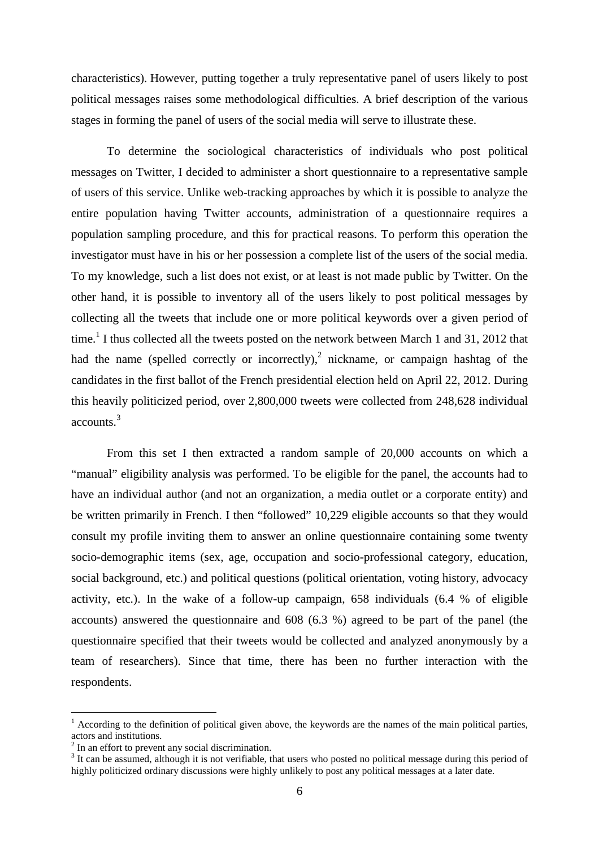characteristics). However, putting together a truly representative panel of users likely to post political messages raises some methodological difficulties. A brief description of the various stages in forming the panel of users of the social media will serve to illustrate these.

 To determine the sociological characteristics of individuals who post political messages on Twitter, I decided to administer a short questionnaire to a representative sample of users of this service. Unlike web-tracking approaches by which it is possible to analyze the entire population having Twitter accounts, administration of a questionnaire requires a population sampling procedure, and this for practical reasons. To perform this operation the investigator must have in his or her possession a complete list of the users of the social media. To my knowledge, such a list does not exist, or at least is not made public by Twitter. On the other hand, it is possible to inventory all of the users likely to post political messages by collecting all the tweets that include one or more political keywords over a given period of time.<sup>1</sup> I thus collected all the tweets posted on the network between March 1 and 31, 2012 that had the name (spelled correctly or incorrectly),<sup>2</sup> nickname, or campaign hashtag of the candidates in the first ballot of the French presidential election held on April 22, 2012. During this heavily politicized period, over 2,800,000 tweets were collected from 248,628 individual accounts.<sup>3</sup>

From this set I then extracted a random sample of 20,000 accounts on which a "manual" eligibility analysis was performed. To be eligible for the panel, the accounts had to have an individual author (and not an organization, a media outlet or a corporate entity) and be written primarily in French. I then "followed" 10,229 eligible accounts so that they would consult my profile inviting them to answer an online questionnaire containing some twenty socio-demographic items (sex, age, occupation and socio-professional category, education, social background, etc.) and political questions (political orientation, voting history, advocacy activity, etc.). In the wake of a follow-up campaign, 658 individuals (6.4 % of eligible accounts) answered the questionnaire and 608 (6.3 %) agreed to be part of the panel (the questionnaire specified that their tweets would be collected and analyzed anonymously by a team of researchers). Since that time, there has been no further interaction with the respondents.

 $\overline{a}$ 

 $1$  According to the definition of political given above, the keywords are the names of the main political parties, actors and institutions.

 $2$  In an effort to prevent any social discrimination.

 $3$  It can be assumed, although it is not verifiable, that users who posted no political message during this period of highly politicized ordinary discussions were highly unlikely to post any political messages at a later date.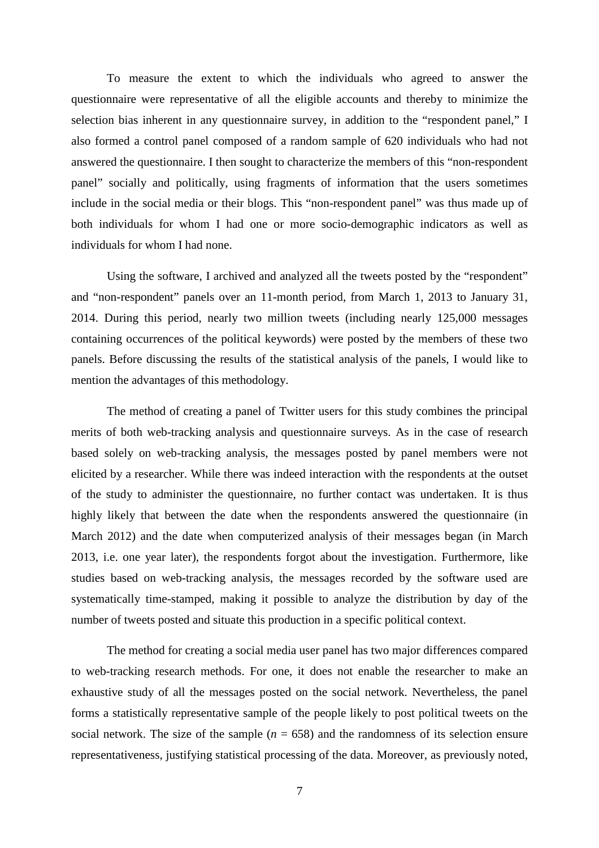To measure the extent to which the individuals who agreed to answer the questionnaire were representative of all the eligible accounts and thereby to minimize the selection bias inherent in any questionnaire survey, in addition to the "respondent panel," I also formed a control panel composed of a random sample of 620 individuals who had not answered the questionnaire. I then sought to characterize the members of this "non-respondent panel" socially and politically, using fragments of information that the users sometimes include in the social media or their blogs. This "non-respondent panel" was thus made up of both individuals for whom I had one or more socio-demographic indicators as well as individuals for whom I had none.

Using the software, I archived and analyzed all the tweets posted by the "respondent" and "non-respondent" panels over an 11-month period, from March 1, 2013 to January 31, 2014. During this period, nearly two million tweets (including nearly 125,000 messages containing occurrences of the political keywords) were posted by the members of these two panels. Before discussing the results of the statistical analysis of the panels, I would like to mention the advantages of this methodology.

 The method of creating a panel of Twitter users for this study combines the principal merits of both web-tracking analysis and questionnaire surveys. As in the case of research based solely on web-tracking analysis, the messages posted by panel members were not elicited by a researcher. While there was indeed interaction with the respondents at the outset of the study to administer the questionnaire, no further contact was undertaken. It is thus highly likely that between the date when the respondents answered the questionnaire (in March 2012) and the date when computerized analysis of their messages began (in March 2013, i.e. one year later), the respondents forgot about the investigation. Furthermore, like studies based on web-tracking analysis, the messages recorded by the software used are systematically time-stamped, making it possible to analyze the distribution by day of the number of tweets posted and situate this production in a specific political context.

The method for creating a social media user panel has two major differences compared to web-tracking research methods. For one, it does not enable the researcher to make an exhaustive study of all the messages posted on the social network. Nevertheless, the panel forms a statistically representative sample of the people likely to post political tweets on the social network. The size of the sample  $(n = 658)$  and the randomness of its selection ensure representativeness, justifying statistical processing of the data. Moreover, as previously noted,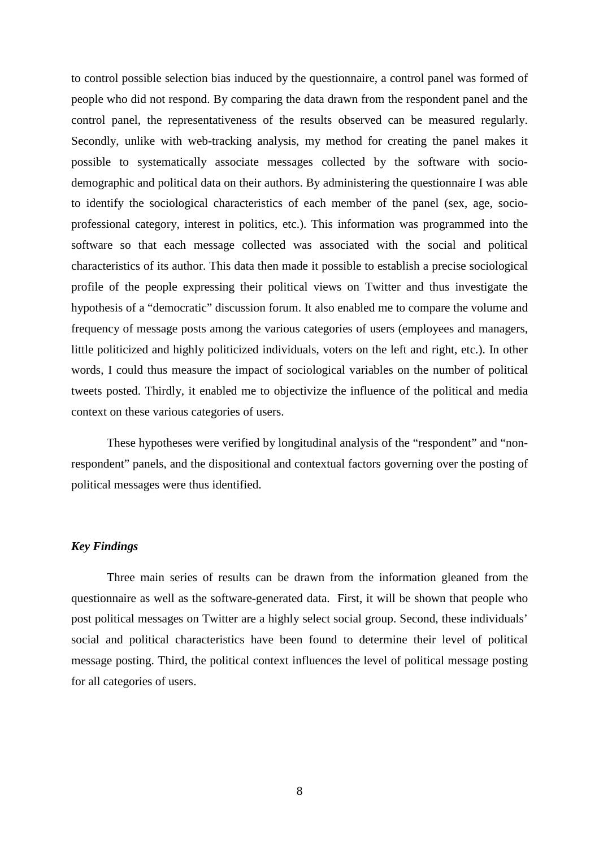to control possible selection bias induced by the questionnaire, a control panel was formed of people who did not respond. By comparing the data drawn from the respondent panel and the control panel, the representativeness of the results observed can be measured regularly. Secondly, unlike with web-tracking analysis, my method for creating the panel makes it possible to systematically associate messages collected by the software with sociodemographic and political data on their authors. By administering the questionnaire I was able to identify the sociological characteristics of each member of the panel (sex, age, socioprofessional category, interest in politics, etc.). This information was programmed into the software so that each message collected was associated with the social and political characteristics of its author. This data then made it possible to establish a precise sociological profile of the people expressing their political views on Twitter and thus investigate the hypothesis of a "democratic" discussion forum. It also enabled me to compare the volume and frequency of message posts among the various categories of users (employees and managers, little politicized and highly politicized individuals, voters on the left and right, etc.). In other words, I could thus measure the impact of sociological variables on the number of political tweets posted. Thirdly, it enabled me to objectivize the influence of the political and media context on these various categories of users.

These hypotheses were verified by longitudinal analysis of the "respondent" and "nonrespondent" panels, and the dispositional and contextual factors governing over the posting of political messages were thus identified.

#### *Key Findings*

Three main series of results can be drawn from the information gleaned from the questionnaire as well as the software-generated data. First, it will be shown that people who post political messages on Twitter are a highly select social group. Second, these individuals' social and political characteristics have been found to determine their level of political message posting. Third, the political context influences the level of political message posting for all categories of users.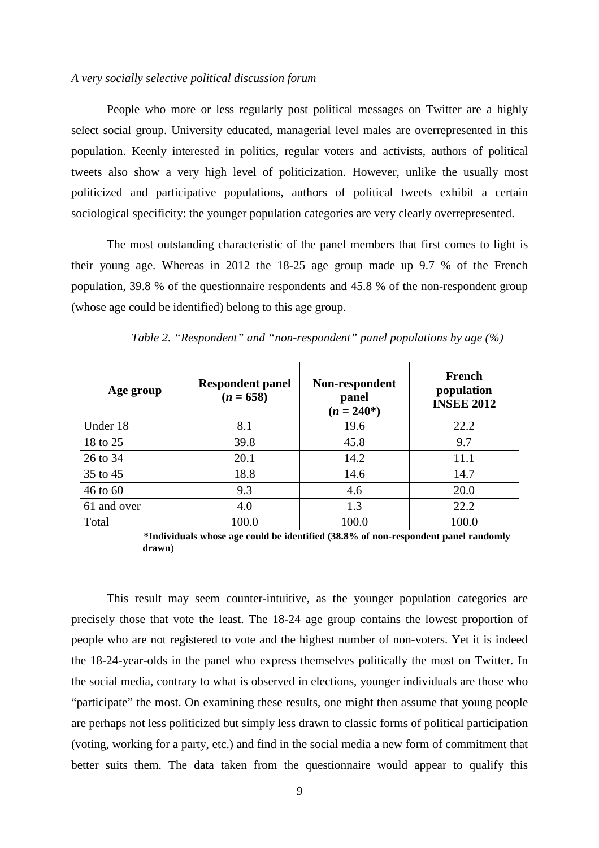#### *A very socially selective political discussion forum*

 People who more or less regularly post political messages on Twitter are a highly select social group. University educated, managerial level males are overrepresented in this population. Keenly interested in politics, regular voters and activists, authors of political tweets also show a very high level of politicization. However, unlike the usually most politicized and participative populations, authors of political tweets exhibit a certain sociological specificity: the younger population categories are very clearly overrepresented.

The most outstanding characteristic of the panel members that first comes to light is their young age. Whereas in 2012 the 18-25 age group made up 9.7 % of the French population, 39.8 % of the questionnaire respondents and 45.8 % of the non-respondent group (whose age could be identified) belong to this age group.

| Age group   | <b>Respondent panel</b><br>$(n = 658)$ | Non-respondent<br>panel<br>$(n = 240^*)$ | French<br>population<br><b>INSEE 2012</b> |
|-------------|----------------------------------------|------------------------------------------|-------------------------------------------|
| Under 18    | 8.1                                    | 19.6                                     | 22.2                                      |
| 18 to 25    | 39.8                                   | 45.8                                     | 9.7                                       |
| 26 to 34    | 20.1                                   | 14.2                                     | 11.1                                      |
| 35 to 45    | 18.8                                   | 14.6                                     | 14.7                                      |
| 46 to 60    | 9.3                                    | 4.6                                      | 20.0                                      |
| 61 and over | 4.0                                    | 1.3                                      | 22.2                                      |
| Total       | 100.0                                  | 100.0                                    | 100.0                                     |

*Table 2. "Respondent" and "non-respondent" panel populations by age (%)* 

**\*Individuals whose age could be identified (38.8% of non-respondent panel randomly drawn**)

This result may seem counter-intuitive, as the younger population categories are precisely those that vote the least. The 18-24 age group contains the lowest proportion of people who are not registered to vote and the highest number of non-voters. Yet it is indeed the 18-24-year-olds in the panel who express themselves politically the most on Twitter. In the social media, contrary to what is observed in elections, younger individuals are those who "participate" the most. On examining these results, one might then assume that young people are perhaps not less politicized but simply less drawn to classic forms of political participation (voting, working for a party, etc.) and find in the social media a new form of commitment that better suits them. The data taken from the questionnaire would appear to qualify this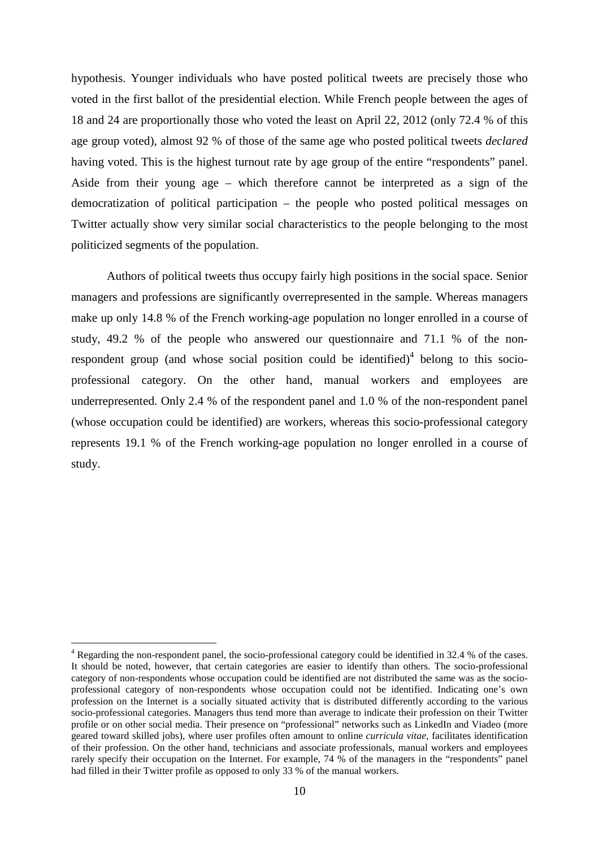hypothesis. Younger individuals who have posted political tweets are precisely those who voted in the first ballot of the presidential election. While French people between the ages of 18 and 24 are proportionally those who voted the least on April 22, 2012 (only 72.4 % of this age group voted), almost 92 % of those of the same age who posted political tweets *declared*  having voted. This is the highest turnout rate by age group of the entire "respondents" panel. Aside from their young age – which therefore cannot be interpreted as a sign of the democratization of political participation – the people who posted political messages on Twitter actually show very similar social characteristics to the people belonging to the most politicized segments of the population.

 Authors of political tweets thus occupy fairly high positions in the social space. Senior managers and professions are significantly overrepresented in the sample. Whereas managers make up only 14.8 % of the French working-age population no longer enrolled in a course of study, 49.2 % of the people who answered our questionnaire and 71.1 % of the nonrespondent group (and whose social position could be identified) $4$  belong to this socioprofessional category. On the other hand, manual workers and employees are underrepresented. Only 2.4 % of the respondent panel and 1.0 % of the non-respondent panel (whose occupation could be identified) are workers, whereas this socio-professional category represents 19.1 % of the French working-age population no longer enrolled in a course of study.

 $\overline{a}$ 

<sup>&</sup>lt;sup>4</sup> Regarding the non-respondent panel, the socio-professional category could be identified in 32.4 % of the cases. It should be noted, however, that certain categories are easier to identify than others. The socio-professional category of non-respondents whose occupation could be identified are not distributed the same was as the socioprofessional category of non-respondents whose occupation could not be identified. Indicating one's own profession on the Internet is a socially situated activity that is distributed differently according to the various socio-professional categories. Managers thus tend more than average to indicate their profession on their Twitter profile or on other social media. Their presence on "professional" networks such as LinkedIn and Viadeo (more geared toward skilled jobs), where user profiles often amount to online *curricula vitae*, facilitates identification of their profession. On the other hand, technicians and associate professionals, manual workers and employees rarely specify their occupation on the Internet. For example, 74 % of the managers in the "respondents" panel had filled in their Twitter profile as opposed to only 33 % of the manual workers.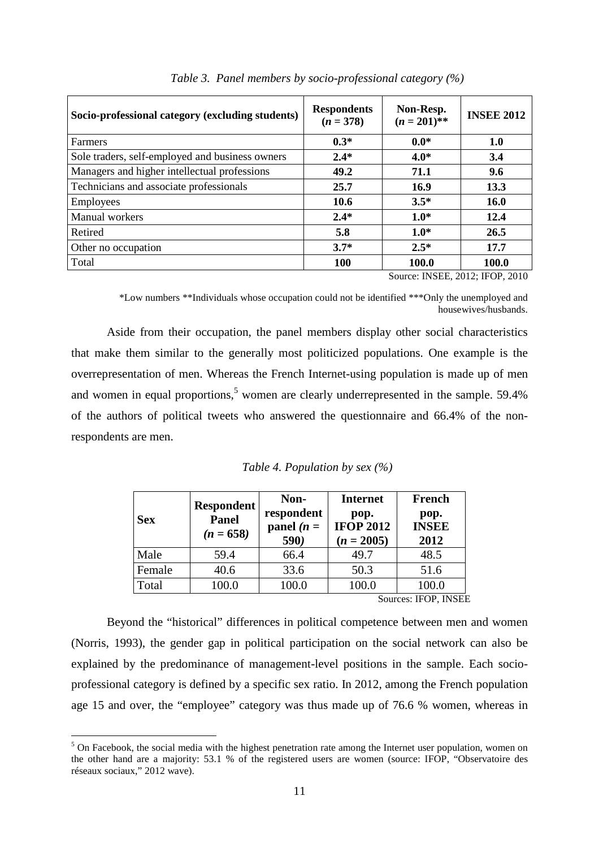| Socio-professional category (excluding students) | <b>Respondents</b><br>$(n = 378)$ | Non-Resp.<br>$(n = 201)$ **                     | <b>INSEE 2012</b> |
|--------------------------------------------------|-----------------------------------|-------------------------------------------------|-------------------|
| <b>Farmers</b>                                   | $0.3*$                            | $0.0*$                                          | 1.0               |
| Sole traders, self-employed and business owners  | $2.4*$                            | $4.0*$                                          | 3.4               |
| Managers and higher intellectual professions     | 49.2                              | 71.1                                            | 9.6               |
| Technicians and associate professionals          | 25.7                              | 16.9                                            | 13.3              |
| Employees                                        | 10.6                              | $3.5*$                                          | <b>16.0</b>       |
| Manual workers                                   | $2.4*$                            | $1.0*$                                          | 12.4              |
| Retired                                          | 5.8                               | $1.0*$                                          | 26.5              |
| Other no occupation                              | $3.7*$                            | $2.5*$                                          | 17.7              |
| Total                                            | 100                               | 100.0                                           | 100.0             |
|                                                  |                                   | $C_{\text{outco}}$ . INCEE $2012$ . IEOD $2010$ |                   |

*Table 3. Panel members by socio-professional category (%)* 

Source: INSEE, 2012; IFOP, 2010

\*Low numbers \*\*Individuals whose occupation could not be identified \*\*\*Only the unemployed and housewives/husbands.

Aside from their occupation, the panel members display other social characteristics that make them similar to the generally most politicized populations. One example is the overrepresentation of men. Whereas the French Internet-using population is made up of men and women in equal proportions,<sup>5</sup> women are clearly underrepresented in the sample.  $59.4\%$ of the authors of political tweets who answered the questionnaire and 66.4% of the nonrespondents are men.

|  | Table 4. Population by sex $(%)$ |  |
|--|----------------------------------|--|
|--|----------------------------------|--|

| <b>Sex</b> | <b>Respondent</b><br><b>Panel</b><br>$(n = 658)$ | Non-<br>respondent<br>panel ( $n =$<br>590) | <b>Internet</b><br>pop.<br><b>IFOP 2012</b><br>$(n = 2005)$ | French<br>pop.<br><b>INSEE</b><br>2012 |
|------------|--------------------------------------------------|---------------------------------------------|-------------------------------------------------------------|----------------------------------------|
| Male       | 59.4                                             | 66.4                                        | 49.7                                                        | 48.5                                   |
| Female     | 40.6                                             | 33.6                                        | 50.3                                                        | 51.6                                   |
| Total      | 100.0                                            | 100.0                                       | 100.0                                                       | 100.0                                  |
|            |                                                  |                                             |                                                             | $C_{\text{outcoor}}$ IEOD INCE         |

Sources: IFOP, INSEE

Beyond the "historical" differences in political competence between men and women (Norris, 1993), the gender gap in political participation on the social network can also be explained by the predominance of management-level positions in the sample. Each socioprofessional category is defined by a specific sex ratio. In 2012, among the French population age 15 and over, the "employee" category was thus made up of 76.6 % women, whereas in

<sup>&</sup>lt;sup>5</sup> On Facebook, the social media with the highest penetration rate among the Internet user population, women on the other hand are a majority: 53.1 % of the registered users are women (source: IFOP, "Observatoire des réseaux sociaux," 2012 wave).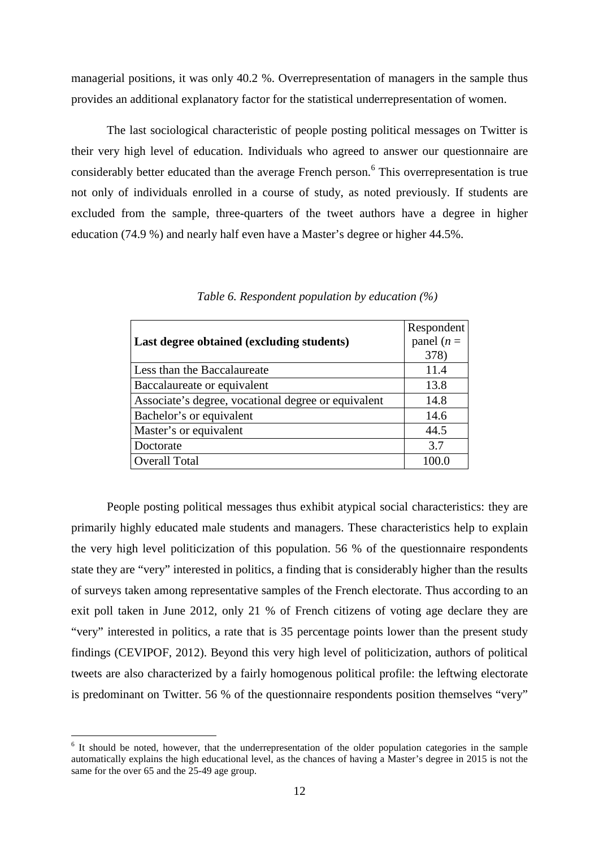managerial positions, it was only 40.2 %. Overrepresentation of managers in the sample thus provides an additional explanatory factor for the statistical underrepresentation of women.

The last sociological characteristic of people posting political messages on Twitter is their very high level of education. Individuals who agreed to answer our questionnaire are considerably better educated than the average French person.<sup>6</sup> This overrepresentation is true not only of individuals enrolled in a course of study, as noted previously. If students are excluded from the sample, three-quarters of the tweet authors have a degree in higher education (74.9 %) and nearly half even have a Master's degree or higher 44.5%.

|                                                     | Respondent    |
|-----------------------------------------------------|---------------|
| Last degree obtained (excluding students)           | panel ( $n =$ |
|                                                     | 378)          |
| Less than the Baccalaureate                         | 11.4          |
| Baccalaureate or equivalent                         | 13.8          |
| Associate's degree, vocational degree or equivalent | 14.8          |
| Bachelor's or equivalent                            | 14.6          |
| Master's or equivalent                              | 44.5          |
| Doctorate                                           | 3.7           |
| <b>Overall Total</b>                                | 100.0         |

*Table 6. Respondent population by education (%)*

People posting political messages thus exhibit atypical social characteristics: they are primarily highly educated male students and managers. These characteristics help to explain the very high level politicization of this population. 56 % of the questionnaire respondents state they are "very" interested in politics, a finding that is considerably higher than the results of surveys taken among representative samples of the French electorate. Thus according to an exit poll taken in June 2012, only 21 % of French citizens of voting age declare they are "very" interested in politics, a rate that is 35 percentage points lower than the present study findings (CEVIPOF, 2012). Beyond this very high level of politicization, authors of political tweets are also characterized by a fairly homogenous political profile: the leftwing electorate is predominant on Twitter. 56 % of the questionnaire respondents position themselves "very"

 $\overline{a}$ 

<sup>&</sup>lt;sup>6</sup> It should be noted, however, that the underrepresentation of the older population categories in the sample automatically explains the high educational level, as the chances of having a Master's degree in 2015 is not the same for the over 65 and the 25-49 age group.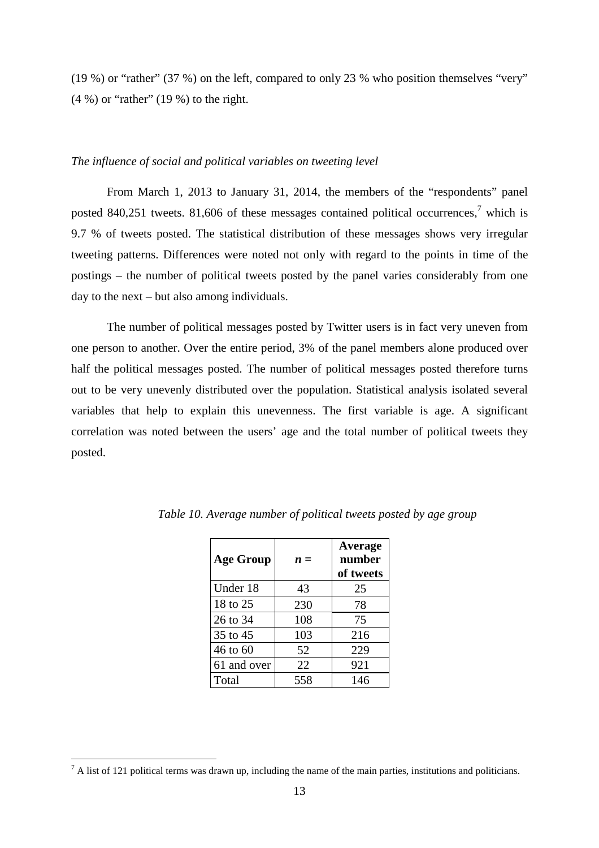(19 %) or "rather" (37 %) on the left, compared to only 23 % who position themselves "very" (4 %) or "rather" (19 %) to the right.

#### *The influence of social and political variables on tweeting level*

From March 1, 2013 to January 31, 2014, the members of the "respondents" panel posted 840,251 tweets. 81,606 of these messages contained political occurrences,<sup>7</sup> which is 9.7 % of tweets posted. The statistical distribution of these messages shows very irregular tweeting patterns. Differences were noted not only with regard to the points in time of the postings – the number of political tweets posted by the panel varies considerably from one day to the next – but also among individuals.

The number of political messages posted by Twitter users is in fact very uneven from one person to another. Over the entire period, 3% of the panel members alone produced over half the political messages posted. The number of political messages posted therefore turns out to be very unevenly distributed over the population. Statistical analysis isolated several variables that help to explain this unevenness. The first variable is age. A significant correlation was noted between the users' age and the total number of political tweets they posted.

| <b>Age Group</b> | $n =$ | Average<br>number<br>of tweets |
|------------------|-------|--------------------------------|
| Under 18         | 43    | 25                             |
| 18 to 25         | 230   | 78                             |
| 26 to 34         | 108   | 75                             |
| 35 to 45         | 103   | 216                            |
| 46 to 60         | 52    | 229                            |
| 61 and over      | 22    | 921                            |
| Total            | 558   | 146                            |

*Table 10. Average number of political tweets posted by age group* 

<sup>&</sup>lt;sup>7</sup> A list of 121 political terms was drawn up, including the name of the main parties, institutions and politicians.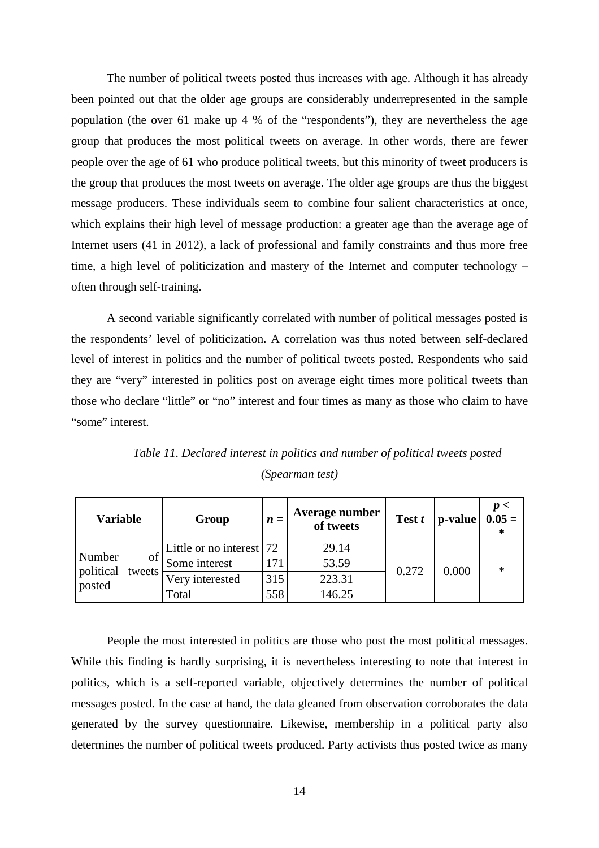The number of political tweets posted thus increases with age. Although it has already been pointed out that the older age groups are considerably underrepresented in the sample population (the over 61 make up 4 % of the "respondents"), they are nevertheless the age group that produces the most political tweets on average. In other words, there are fewer people over the age of 61 who produce political tweets, but this minority of tweet producers is the group that produces the most tweets on average. The older age groups are thus the biggest message producers. These individuals seem to combine four salient characteristics at once, which explains their high level of message production: a greater age than the average age of Internet users (41 in 2012), a lack of professional and family constraints and thus more free time, a high level of politicization and mastery of the Internet and computer technology – often through self-training.

A second variable significantly correlated with number of political messages posted is the respondents' level of politicization. A correlation was thus noted between self-declared level of interest in politics and the number of political tweets posted. Respondents who said they are "very" interested in politics post on average eight times more political tweets than those who declare "little" or "no" interest and four times as many as those who claim to have "some" interest.

| Variable                      | Group                       | $\boldsymbol{n} =$ | Average number<br>of tweets | Test t | p-value | p<<br>$0.05 =$ |
|-------------------------------|-----------------------------|--------------------|-----------------------------|--------|---------|----------------|
|                               | Little or no interest $ 72$ |                    | 29.14                       |        |         |                |
| Number<br>ΟĪ                  | Some interest               | 171                | 53.59                       | 0.272  | 0.000   | $\ast$         |
| political<br>tweets<br>posted | Very interested             | 315                | 223.31                      |        |         |                |
|                               | Total                       | 558                | 146.25                      |        |         |                |

*Table 11. Declared interest in politics and number of political tweets posted (Spearman test)* 

People the most interested in politics are those who post the most political messages. While this finding is hardly surprising, it is nevertheless interesting to note that interest in politics, which is a self-reported variable, objectively determines the number of political messages posted. In the case at hand, the data gleaned from observation corroborates the data generated by the survey questionnaire. Likewise, membership in a political party also determines the number of political tweets produced. Party activists thus posted twice as many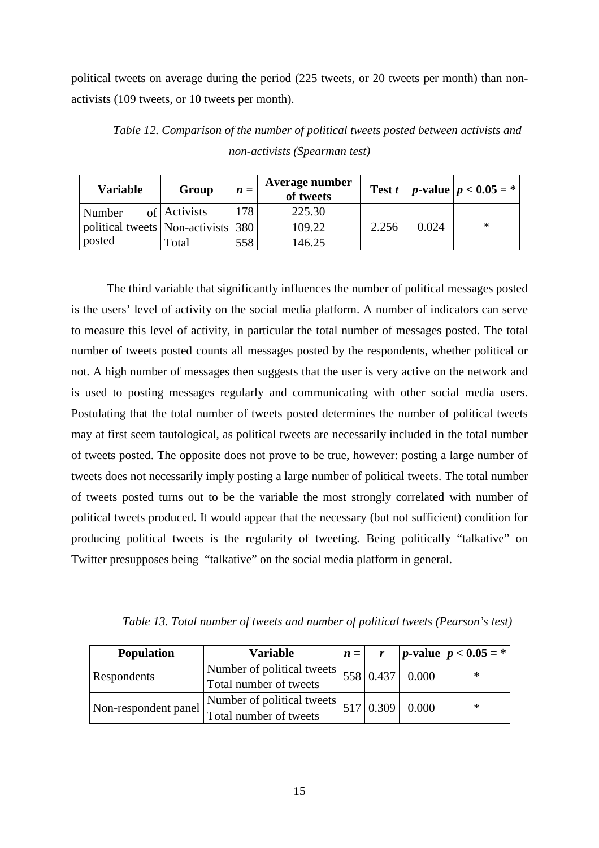political tweets on average during the period (225 tweets, or 20 tweets per month) than nonactivists (109 tweets, or 10 tweets per month).

| <b>Variable</b>                        | Group        | $\boldsymbol{n} =$ | Average number<br>of tweets |       |       | <b>Test t</b>   p-value   $p < 0.05 =$ * |
|----------------------------------------|--------------|--------------------|-----------------------------|-------|-------|------------------------------------------|
| Number                                 | of Activists | 178                | 225.30                      |       |       |                                          |
| political tweets   Non-activists   380 |              |                    | 109.22                      | 2.256 | 0.024 | ∗                                        |
| posted                                 | Total        | 558                | 146.25                      |       |       |                                          |

*Table 12. Comparison of the number of political tweets posted between activists and non-activists (Spearman test)* 

The third variable that significantly influences the number of political messages posted is the users' level of activity on the social media platform. A number of indicators can serve to measure this level of activity, in particular the total number of messages posted. The total number of tweets posted counts all messages posted by the respondents, whether political or not. A high number of messages then suggests that the user is very active on the network and is used to posting messages regularly and communicating with other social media users. Postulating that the total number of tweets posted determines the number of political tweets may at first seem tautological, as political tweets are necessarily included in the total number of tweets posted. The opposite does not prove to be true, however: posting a large number of tweets does not necessarily imply posting a large number of political tweets. The total number of tweets posted turns out to be the variable the most strongly correlated with number of political tweets produced. It would appear that the necessary (but not sufficient) condition for producing political tweets is the regularity of tweeting. Being politically "talkative" on Twitter presupposes being "talkative" on the social media platform in general.

| <b>Population</b>    | <b>Variable</b>                                   | $\boldsymbol{n} =$ |       | <i>p</i> -value   <i>p</i> < $0.05 =$ * |
|----------------------|---------------------------------------------------|--------------------|-------|-----------------------------------------|
|                      | Number of political tweets $ 558 0.437 0.000$     |                    |       | ∗                                       |
| <b>Respondents</b>   | Total number of tweets                            |                    |       |                                         |
| Non-respondent panel | $\sqrt{N$ Number of political tweets $517 0.309 $ |                    | 0.000 | ∗                                       |
|                      | Total number of tweets                            |                    |       |                                         |

*Table 13. Total number of tweets and number of political tweets (Pearson's test)*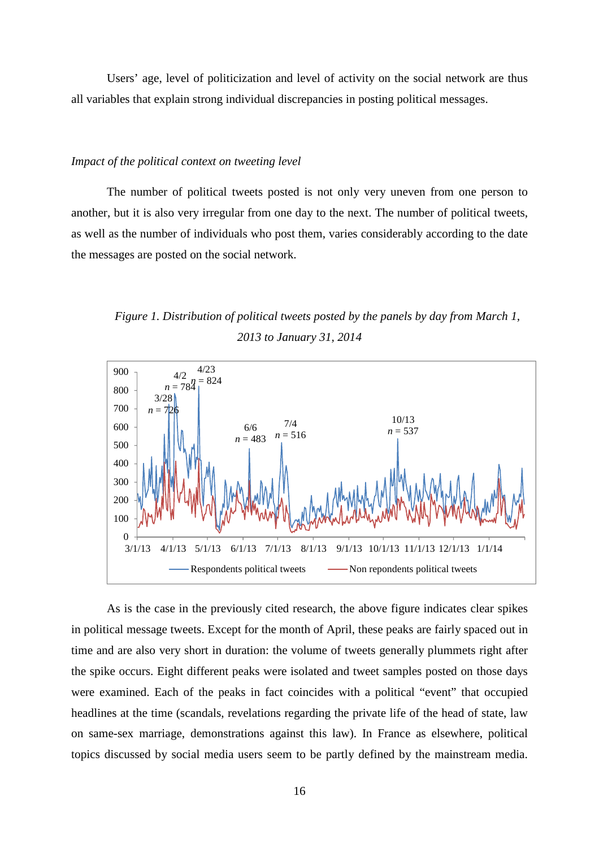Users' age, level of politicization and level of activity on the social network are thus all variables that explain strong individual discrepancies in posting political messages.

#### *Impact of the political context on tweeting level*

The number of political tweets posted is not only very uneven from one person to another, but it is also very irregular from one day to the next. The number of political tweets, as well as the number of individuals who post them, varies considerably according to the date the messages are posted on the social network.

*Figure 1. Distribution of political tweets posted by the panels by day from March 1, 2013 to January 31, 2014* 



As is the case in the previously cited research, the above figure indicates clear spikes in political message tweets. Except for the month of April, these peaks are fairly spaced out in time and are also very short in duration: the volume of tweets generally plummets right after the spike occurs. Eight different peaks were isolated and tweet samples posted on those days were examined. Each of the peaks in fact coincides with a political "event" that occupied headlines at the time (scandals, revelations regarding the private life of the head of state, law on same-sex marriage, demonstrations against this law). In France as elsewhere, political topics discussed by social media users seem to be partly defined by the mainstream media.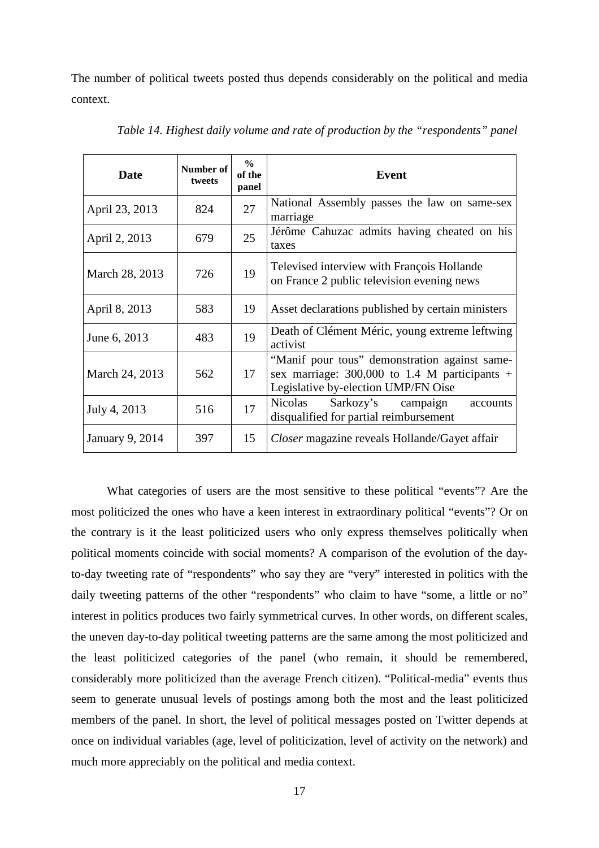The number of political tweets posted thus depends considerably on the political and media context.

| Date                   | Number of<br>tweets | $\frac{0}{0}$<br>of the<br>panel | Event                                                                                                                                   |
|------------------------|---------------------|----------------------------------|-----------------------------------------------------------------------------------------------------------------------------------------|
| April 23, 2013         | 824                 | 27                               | National Assembly passes the law on same-sex<br>marriage                                                                                |
| April 2, 2013          | 679                 | 25                               | Jérôme Cahuzac admits having cheated on his<br>taxes                                                                                    |
| March 28, 2013         | 726                 | 19                               | Televised interview with François Hollande<br>on France 2 public television evening news                                                |
| April 8, 2013          | 583                 | 19                               | Asset declarations published by certain ministers                                                                                       |
| June 6, 2013           | 483                 | 19                               | Death of Clément Méric, young extreme leftwing<br>activist                                                                              |
| March 24, 2013         | 562                 | 17                               | "Manif pour tous" demonstration against same-<br>sex marriage: $300,000$ to 1.4 M participants +<br>Legislative by-election UMP/FN Oise |
| July 4, 2013           | 516                 | 17                               | Sarkozy's campaign<br>Nicolas<br>accounts<br>disqualified for partial reimbursement                                                     |
| <b>January 9, 2014</b> | 397                 | 15                               | Closer magazine reveals Hollande/Gayet affair                                                                                           |

*Table 14. Highest daily volume and rate of production by the "respondents" panel*

What categories of users are the most sensitive to these political "events"? Are the most politicized the ones who have a keen interest in extraordinary political "events"? Or on the contrary is it the least politicized users who only express themselves politically when political moments coincide with social moments? A comparison of the evolution of the dayto-day tweeting rate of "respondents" who say they are "very" interested in politics with the daily tweeting patterns of the other "respondents" who claim to have "some, a little or no" interest in politics produces two fairly symmetrical curves. In other words, on different scales, the uneven day-to-day political tweeting patterns are the same among the most politicized and the least politicized categories of the panel (who remain, it should be remembered, considerably more politicized than the average French citizen). "Political-media" events thus seem to generate unusual levels of postings among both the most and the least politicized members of the panel. In short, the level of political messages posted on Twitter depends at once on individual variables (age, level of politicization, level of activity on the network) and much more appreciably on the political and media context.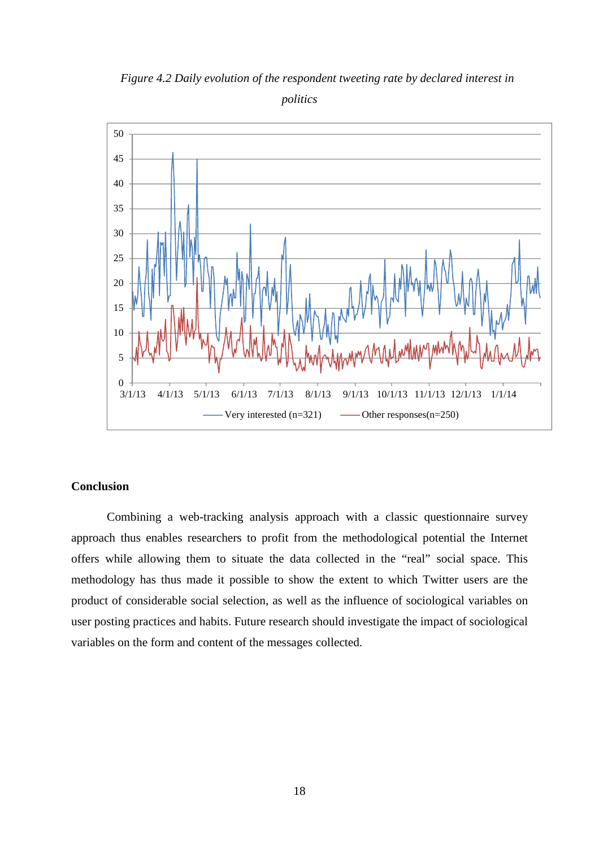

*Figure 4.2 Daily evolution of the respondent tweeting rate by declared interest in politics* 

### **Conclusion**

Combining a web-tracking analysis approach with a classic questionnaire survey approach thus enables researchers to profit from the methodological potential the Internet offers while allowing them to situate the data collected in the "real" social space. This methodology has thus made it possible to show the extent to which Twitter users are the product of considerable social selection, as well as the influence of sociological variables on user posting practices and habits. Future research should investigate the impact of sociological variables on the form and content of the messages collected.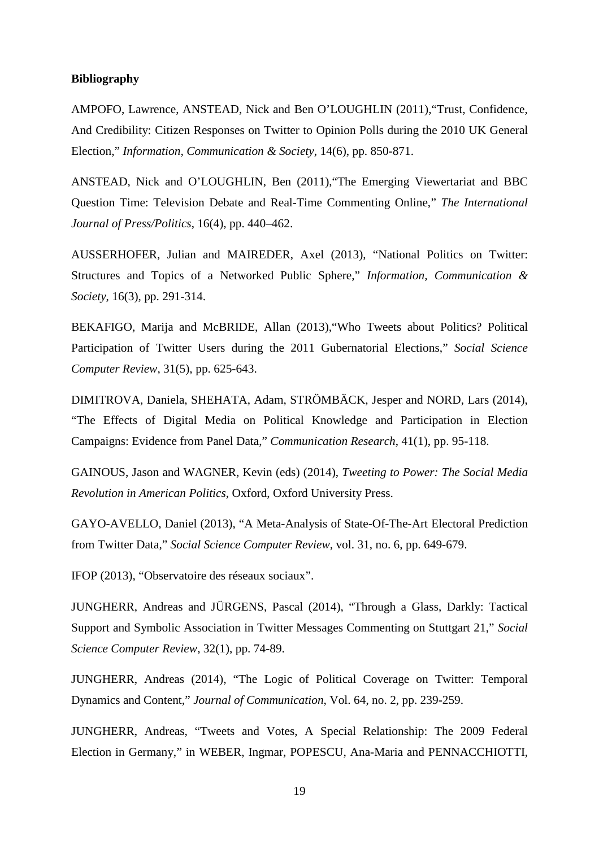#### **Bibliography**

AMPOFO, Lawrence, ANSTEAD, Nick and Ben O'LOUGHLIN (2011),"Trust, Confidence, And Credibility: Citizen Responses on Twitter to Opinion Polls during the 2010 UK General Election," *Information, Communication & Society*, 14(6), pp. 850-871.

ANSTEAD, Nick and O'LOUGHLIN, Ben (2011),"The Emerging Viewertariat and BBC Question Time: Television Debate and Real-Time Commenting Online," *The International Journal of Press/Politics*, 16(4), pp. 440–462.

AUSSERHOFER, Julian and MAIREDER, Axel (2013), "National Politics on Twitter: Structures and Topics of a Networked Public Sphere," *Information, Communication & Society*, 16(3), pp. 291-314.

BEKAFIGO, Marija and McBRIDE, Allan (2013),"Who Tweets about Politics? Political Participation of Twitter Users during the 2011 Gubernatorial Elections," *Social Science Computer Review*, 31(5), pp. 625-643.

DIMITROVA, Daniela, SHEHATA, Adam, STRÖMBÄCK, Jesper and NORD, Lars (2014), "The Effects of Digital Media on Political Knowledge and Participation in Election Campaigns: Evidence from Panel Data," *Communication Research*, 41(1), pp. 95-118.

GAINOUS, Jason and WAGNER, Kevin (eds) (2014), *Tweeting to Power: The Social Media Revolution in American Politics*, Oxford, Oxford University Press.

GAYO-AVELLO, Daniel (2013), "A Meta-Analysis of State-Of-The-Art Electoral Prediction from Twitter Data," *Social Science Computer Review*, vol. 31, no. 6, pp. 649-679.

IFOP (2013), "Observatoire des réseaux sociaux".

JUNGHERR, Andreas and JÜRGENS, Pascal (2014), "Through a Glass, Darkly: Tactical Support and Symbolic Association in Twitter Messages Commenting on Stuttgart 21," *Social Science Computer Review*, 32(1), pp. 74-89.

JUNGHERR, Andreas (2014), "The Logic of Political Coverage on Twitter: Temporal Dynamics and Content," *Journal of Communication*, Vol. 64, no. 2, pp. 239-259.

JUNGHERR, Andreas, "Tweets and Votes, A Special Relationship: The 2009 Federal Election in Germany," in WEBER, Ingmar, POPESCU, Ana-Maria and PENNACCHIOTTI,